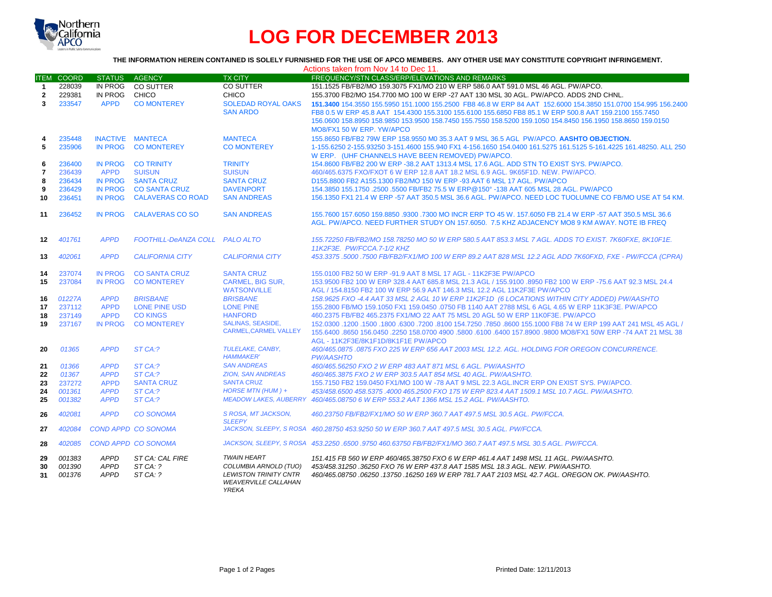

# **LOG FOR DECEMBER 2013**

# **THE INFORMATION HEREIN CONTAINED IS SOLELY FURNISHED FOR THE USE OF APCO MEMBERS. ANY OTHER USE MAY CONSTITUTE COPYRIGHT INFRINGEMENT.**

|                  | Actions taken from Nov 14 to Dec 11. |                                           |                                        |                                                                                                                            |                                                                                                                                                                                                                                                                          |  |
|------------------|--------------------------------------|-------------------------------------------|----------------------------------------|----------------------------------------------------------------------------------------------------------------------------|--------------------------------------------------------------------------------------------------------------------------------------------------------------------------------------------------------------------------------------------------------------------------|--|
| <b>ITEM</b>      | <b>COORD</b>                         | <b>STATUS</b>                             | AGENCY                                 | <b>TX CITY</b>                                                                                                             | FREQUENCY/STN CLASS/ERP/ELEVATIONS AND REMARKS                                                                                                                                                                                                                           |  |
| $\mathbf 1$      | 228039                               |                                           | IN PROG CO SUTTER                      | <b>CO SUTTER</b>                                                                                                           | 151.1525 FB/FB2/MO 159.3075 FX1/MO 210 W ERP 586.0 AAT 591.0 MSL 46 AGL, PW/APCO.                                                                                                                                                                                        |  |
| $\overline{2}$   | 229381                               | IN PROG                                   | CHICO                                  | <b>CHICO</b>                                                                                                               | 155.3700 FB2/MO 154.7700 MO 100 W ERP -27 AAT 130 MSL 30 AGL. PW/APCO. ADDS 2ND CHNL.                                                                                                                                                                                    |  |
| 3                | 233547                               | <b>APPD</b>                               | <b>CO MONTEREY</b>                     | <b>SOLEDAD ROYAL OAKS</b>                                                                                                  | 151,3400 154,3550 155,5950 151,1000 155,2500 FB8 46.8 W ERP 84 AAT 152,6000 154,3850 151,0700 154,995 156,2400                                                                                                                                                           |  |
|                  |                                      |                                           |                                        | <b>SAN ARDO</b>                                                                                                            | FB8 0.5 W ERP 45.8 AAT 154.4300 155.3100 155.6100 155.6850 FB8 85.1 W ERP 500.8 AAT 159.2100 155.7450                                                                                                                                                                    |  |
|                  |                                      |                                           |                                        |                                                                                                                            | 156.0600 158.8950 158.9850 153.9500 158.7450 155.7550 158.5200 159.1050 154.8450 156.1950 158.8650 159.0150                                                                                                                                                              |  |
|                  |                                      |                                           |                                        |                                                                                                                            | MO8/FX1 50 W ERP. YW/APCO                                                                                                                                                                                                                                                |  |
| 4                | 235448                               |                                           | INACTIVE MANTECA                       | <b>MANTECA</b>                                                                                                             | 155.8650 FB/FB2 79W ERP 158.9550 M0 35.3 AAT 9 MSL 36.5 AGL PW/APCO. AASHTO OBJECTION.                                                                                                                                                                                   |  |
| 5                | 235906                               | IN PROG                                   | <b>CO MONTEREY</b>                     | <b>CO MONTEREY</b>                                                                                                         | 1-155.6250 2-155.93250 3-151.4600 155.940 FX1 4-156.1650 154.0400 161.5275 161.5125 5-161.4225 161.48250, ALL 250                                                                                                                                                        |  |
|                  |                                      |                                           |                                        |                                                                                                                            | W ERP. (UHF CHANNELS HAVE BEEN REMOVED) PW/APCO.                                                                                                                                                                                                                         |  |
| 6                | 236400                               | <b>IN PROG</b>                            | <b>CO TRINITY</b>                      | <b>TRINITY</b>                                                                                                             | 154.8600 FB/FB2 200 W ERP -38.2 AAT 1313.4 MSL 17.6 AGL. ADD STN TO EXIST SYS. PW/APCO.                                                                                                                                                                                  |  |
| $\overline{7}$   | 236439                               | <b>APPD</b>                               | <b>SUISUN</b>                          | <b>SUISUN</b>                                                                                                              | 460/465.6375 FXO/FXOT 6 W ERP 12.8 AAT 18.2 MSL 6.9 AGL. 9K65F1D. NEW. PW/APCO.                                                                                                                                                                                          |  |
| 8                | 236434                               | <b>IN PROG</b>                            | <b>SANTA CRUZ</b>                      | <b>SANTA CRUZ</b>                                                                                                          | D155,8800 FB2 A155,1300 FB2/MO 150 W ERP -93 AAT 6 MSL 17 AGL, PW/APCO                                                                                                                                                                                                   |  |
| 9                | 236429                               | <b>IN PROG</b>                            | <b>CO SANTA CRUZ</b>                   | <b>DAVENPORT</b>                                                                                                           | 154.3850 155.1750 .2500 .5500 FB/FB2 75.5 W ERP@150° -138 AAT 605 MSL 28 AGL, PW/APCO                                                                                                                                                                                    |  |
| 10               | 236451                               | <b>IN PROG</b>                            | <b>CALAVERAS CO ROAD</b>               | <b>SAN ANDREAS</b>                                                                                                         | 156.1350 FX1 21.4 W ERP -57 AAT 350.5 MSL 36.6 AGL. PW/APCO, NEED LOC TUOLUMNE CO FB/MO USE AT 54 KM.                                                                                                                                                                    |  |
|                  |                                      |                                           |                                        |                                                                                                                            |                                                                                                                                                                                                                                                                          |  |
| 11               | 236452                               | <b>IN PROG</b>                            | <b>CALAVERAS CO SO</b>                 | <b>SAN ANDREAS</b>                                                                                                         | 155.7600 157.6050 159.8850 .9300 .7300 MO INCR ERP TO 45 W, 157.6050 FB 21.4 W ERP -57 AAT 350.5 MSL 36.6                                                                                                                                                                |  |
|                  |                                      |                                           |                                        |                                                                                                                            | AGL, PW/APCO, NEED FURTHER STUDY ON 157,6050. 7.5 KHZ ADJACENCY MO8 9 KM AWAY, NOTE IB FREQ                                                                                                                                                                              |  |
|                  |                                      |                                           |                                        |                                                                                                                            |                                                                                                                                                                                                                                                                          |  |
| 12 <sup>12</sup> | 401761                               | <b>APPD</b>                               | FOOTHILL-DeANZA COLL PALO ALTO         |                                                                                                                            | 155.72250 FB/FB2/MO 158.78250 MO 50 W ERP 580.5 AAT 853.3 MSL 7 AGL. ADDS TO EXIST. 7K60FXE, 8K10F1E.                                                                                                                                                                    |  |
|                  |                                      |                                           |                                        |                                                                                                                            | 11K2F3E. PW/FCCA.7-1/2 KHZ                                                                                                                                                                                                                                               |  |
| 13               | 402061                               | <b>APPD</b>                               | <b>CALIFORNIA CITY</b>                 | <b>CALIFORNIA CITY</b>                                                                                                     | 453.3375 .5000 .7500 FB/FB2/FX1/MO 100 W ERP 89.2 AAT 828 MSL 12.2 AGL ADD 7K60FXD, FXE - PW/FCCA (CPRA)                                                                                                                                                                 |  |
| 14               | 237074                               | <b>IN PROG</b>                            | <b>CO SANTA CRUZ</b>                   | <b>SANTA CRUZ</b>                                                                                                          | 155.0100 FB2 50 W ERP -91.9 AAT 8 MSL 17 AGL - 11K2F3E PW/APCO                                                                                                                                                                                                           |  |
| 15               | 237084                               | IN PROG                                   | <b>CO MONTEREY</b>                     | <b>CARMEL, BIG SUR.</b>                                                                                                    | 153,9500 FB2 100 W ERP 328.4 AAT 685.8 MSL 21.3 AGL / 155,9100 .8950 FB2 100 W ERP -75.6 AAT 92.3 MSL 24.4                                                                                                                                                               |  |
|                  |                                      |                                           |                                        | <b>WATSONVILLE</b>                                                                                                         | AGL / 154.8150 FB2 100 W ERP 56.9 AAT 146.3 MSL 12.2 AGL 11K2F3E PW/APCO                                                                                                                                                                                                 |  |
| 16               | 01227A                               | <b>APPD</b>                               | <b>BRISBANE</b>                        | <b>BRISBANE</b>                                                                                                            | 158.9625 FXO -4.4 AAT 33 MSL 2 AGL 10 W ERP 11K2F1D (6 LOCATIONS WITHIN CITY ADDED) PW/AASHTO                                                                                                                                                                            |  |
| 17               | 237112                               | <b>APPD</b>                               | LONE PINE USD                          | <b>LONE PINE</b>                                                                                                           | 155.2800 FB/MO 159.1050 FX1 159.0450 .0750 FB 1140 AAT 2788 MSL 6 AGL 4.65 W ERP 11K3F3E. PW/APCO                                                                                                                                                                        |  |
| 18               | 237149                               | <b>APPD</b>                               | <b>CO KINGS</b>                        | <b>HANFORD</b>                                                                                                             | 460.2375 FB/FB2 465.2375 FX1/MO 22 AAT 75 MSL 20 AGL 50 W ERP 11K0F3E. PW/APCO                                                                                                                                                                                           |  |
| 19               | 237167                               | <b>IN PROG</b>                            | <b>CO MONTEREY</b>                     | <b>SALINAS, SEASIDE,</b>                                                                                                   | 150 45 45 45 45 45 45 45 45 660 651000 6300 7800 6300 63100 63100 63100 631000 7860 6300 6300 1200 155.1000 FB                                                                                                                                                           |  |
|                  |                                      |                                           |                                        | <b>CARMEL.CARMEL VALLEY</b>                                                                                                | 155,6400,8650 156,0450,2250 158,0700 4900,5800,6100,6400 157,8900,9800 MO8/FX1 50W ERP -74 AAT 21 MSL 38                                                                                                                                                                 |  |
|                  |                                      |                                           |                                        |                                                                                                                            | AGL - 11K2F3E/8K1F1D/8K1F1E PW/APCO                                                                                                                                                                                                                                      |  |
| 20               | 01365                                | <b>APPD</b>                               | $STCA:$ ?                              | TULELAKE, CANBY.                                                                                                           | 460/465.0875 .0875 FXO 225 W ERP 656 AAT 2003 MSL 12.2. AGL. HOLDING FOR OREGON CONCURRENCE.                                                                                                                                                                             |  |
|                  |                                      |                                           |                                        | <b>HAMMAKER'</b>                                                                                                           | <b>PW/AASHTO</b>                                                                                                                                                                                                                                                         |  |
| 21               | 01366                                | <b>APPD</b>                               | ST CA:?                                | <b>SAN ANDREAS</b>                                                                                                         | 460/465.56250 FXO 2 W ERP 483 AAT 871 MSL 6 AGL, PW/AASHTO                                                                                                                                                                                                               |  |
| 22               | 01367                                | <b>APPD</b>                               | ST CA:?                                | <b>ZION, SAN ANDREAS</b>                                                                                                   | 460/465.3875 FXO 2 W ERP 303.5 AAT 854 MSL 40 AGL. PW/AASHTO.                                                                                                                                                                                                            |  |
| 23               | 237272                               | <b>APPD</b>                               | <b>SANTA CRUZ</b>                      | <b>SANTA CRUZ</b>                                                                                                          | 155,7150 FB2 159,0450 FX1/MO 100 W -78 AAT 9 MSL 22.3 AGL.INCR ERP ON EXIST SYS. PW/APCO.                                                                                                                                                                                |  |
| 24               | 001361                               | <b>APPD</b>                               | ST CA:?                                | HORSE MTN (HUM) +                                                                                                          | 453/458.6500 458.5375 .4000 465.2500 FXO 175 W ERP 823.4 AAT 1509.1 MSL 10.7 AGL. PW/AASHTO.                                                                                                                                                                             |  |
| 25               | 001382                               | <b>APPD</b>                               | ST CA:?                                | <b>MEADOW LAKES, AUBERRY</b>                                                                                               | 460/465.08750 6 W ERP 553.2 AAT 1366 MSL 15.2 AGL, PW/AASHTO.                                                                                                                                                                                                            |  |
| 26               | 402081                               | <b>APPD</b>                               | <b>CO SONOMA</b>                       | S ROSA, MT JACKSON,                                                                                                        | 460.23750 FB/FB2/FX1/MO 50 W ERP 360.7 AAT 497.5 MSL 30.5 AGL. PW/FCCA.                                                                                                                                                                                                  |  |
|                  |                                      |                                           |                                        | <b>SLEEPY</b>                                                                                                              |                                                                                                                                                                                                                                                                          |  |
| 27               | 402084                               |                                           | <b>COND APPD CO SONOMA</b>             |                                                                                                                            | JACKSON, SLEEPY, S ROSA 460.28750 453.9250 50 W ERP 360.7 AAT 497.5 MSL 30.5 AGL, PW/FCCA,                                                                                                                                                                               |  |
| 28               | 402085                               |                                           | <b>COND APPD CO SONOMA</b>             |                                                                                                                            | JACKSON, SLEEPY, S ROSA 453.2250 .6500 .9750 460.63750 FB/FB2/FX1/MO 360.7 AAT 497.5 MSL 30.5 AGL. PW/FCCA.                                                                                                                                                              |  |
| 29<br>30<br>31   | 001383<br>001390<br>001376           | <b>APPD</b><br><b>APPD</b><br><b>APPD</b> | ST CA: CAL FIRE<br>STCA: ?<br>ST CA: ? | <b>TWAIN HEART</b><br>COLUMBIA ARNOLD (TUO)<br><b>LEWISTON TRINITY CNTR</b><br><b>WEAVERVILLE CALLAHAN</b><br><b>YREKA</b> | 151.415 FB 560 W ERP 460/465.38750 FXO 6 W ERP 461.4 AAT 1498 MSL 11 AGL. PW/AASHTO.<br>453/458.31250.36250 FXO 76 W ERP 437.8 AAT 1585 MSL 18.3 AGL. NEW. PW/AASHTO.<br>460/465.08750 .06250 .13750 .16250 169 W ERP 781.7 AAT 2103 MSL 42.7 AGL. OREGON OK. PW/AASHTO. |  |